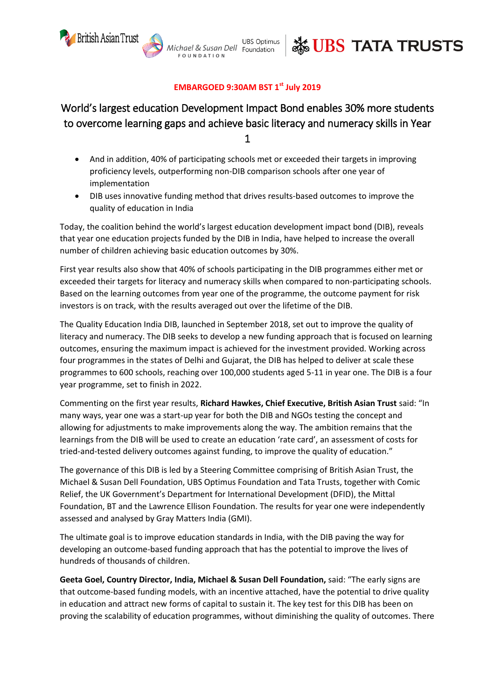

**UBS Optimus** Aichael & Susan Dell Foundation **FOUNDATION** 



## **EMBARGOED 9:30AM BST 1 st July 2019**

# World's largest education Development Impact Bond enables 30% more students to overcome learning gaps and achieve basic literacy and numeracy skills in Year 1

- And in addition, 40% of participating schools met or exceeded their targets in improving proficiency levels, outperforming non-DIB comparison schools after one year of implementation
- DIB uses innovative funding method that drives results-based outcomes to improve the quality of education in India

Today, the coalition behind the world's largest education development impact bond (DIB), reveals that year one education projects funded by the DIB in India, have helped to increase the overall number of children achieving basic education outcomes by 30%.

First year results also show that 40% of schools participating in the DIB programmes either met or exceeded their targets for literacy and numeracy skills when compared to non-participating schools. Based on the learning outcomes from year one of the programme, the outcome payment for risk investors is on track, with the results averaged out over the lifetime of the DIB.

The Quality Education India DIB, launched in September 2018, set out to improve the quality of literacy and numeracy. The DIB seeks to develop a new funding approach that is focused on learning outcomes, ensuring the maximum impact is achieved for the investment provided. Working across four programmes in the states of Delhi and Gujarat, the DIB has helped to deliver at scale these programmes to 600 schools, reaching over 100,000 students aged 5-11 in year one. The DIB is a four year programme, set to finish in 2022.

Commenting on the first year results, **Richard Hawkes, Chief Executive, British Asian Trust** said: "In many ways, year one was a start-up year for both the DIB and NGOs testing the concept and allowing for adjustments to make improvements along the way. The ambition remains that the learnings from the DIB will be used to create an education 'rate card', an assessment of costs for tried-and-tested delivery outcomes against funding, to improve the quality of education."

The governance of this DIB is led by a Steering Committee comprising of British Asian Trust, the Michael & Susan Dell Foundation, UBS Optimus Foundation and Tata Trusts, together with Comic Relief, the UK Government's Department for International Development (DFID), the Mittal Foundation, BT and the Lawrence Ellison Foundation. The results for year one were independently assessed and analysed by Gray Matters India (GMI).

The ultimate goal is to improve education standards in India, with the DIB paving the way for developing an outcome-based funding approach that has the potential to improve the lives of hundreds of thousands of children.

**Geeta Goel, Country Director, India, Michael & Susan Dell Foundation,** said: "The early signs are that outcome-based funding models, with an incentive attached, have the potential to drive quality in education and attract new forms of capital to sustain it. The key test for this DIB has been on proving the scalability of education programmes, without diminishing the quality of outcomes. There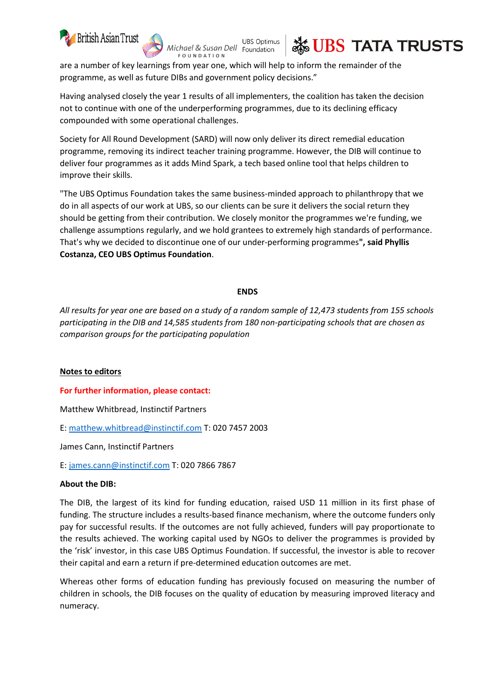

**UBS Optimus** chael & Susan Dell Foundation **FOUNDATION** 



are a number of key learnings from year one, which will help to inform the remainder of the programme, as well as future DIBs and government policy decisions."

Having analysed closely the year 1 results of all implementers, the coalition has taken the decision not to continue with one of the underperforming programmes, due to its declining efficacy compounded with some operational challenges.

Society for All Round Development (SARD) will now only deliver its direct remedial education programme, removing its indirect teacher training programme. However, the DIB will continue to deliver four programmes as it adds Mind Spark, a tech based online tool that helps children to improve their skills.

"The UBS Optimus Foundation takes the same business-minded approach to philanthropy that we do in all aspects of our work at UBS, so our clients can be sure it delivers the social return they should be getting from their contribution. We closely monitor the programmes we're funding, we challenge assumptions regularly, and we hold grantees to extremely high standards of performance. That's why we decided to discontinue one of our under-performing programmes**", said Phyllis Costanza, CEO UBS Optimus Foundation**.

### **ENDS**

*All results for year one are based on a study of a random sample of 12,473 students from 155 schools participating in the DIB and 14,585 students from 180 non-participating schools that are chosen as comparison groups for the participating population*

#### **Notes to editors**

#### **For further information, please contact:**

Matthew Whitbread, Instinctif Partners

E: [matthew.whitbread@instinctif.com](mailto:matthew.whitbread@instinctif.com) T: 020 7457 2003

James Cann, Instinctif Partners

E: [james.cann@instinctif.com](mailto:james.cann@instinctif.com) T: 020 7866 7867

#### **About the DIB:**

The DIB, the largest of its kind for funding education, raised USD 11 million in its first phase of funding. The structure includes a results-based finance mechanism, where the outcome funders only pay for successful results. If the outcomes are not fully achieved, funders will pay proportionate to the results achieved. The working capital used by NGOs to deliver the programmes is provided by the 'risk' investor, in this case UBS Optimus Foundation. If successful, the investor is able to recover their capital and earn a return if pre-determined education outcomes are met.

Whereas other forms of education funding has previously focused on measuring the number of children in schools, the DIB focuses on the quality of education by measuring improved literacy and numeracy.